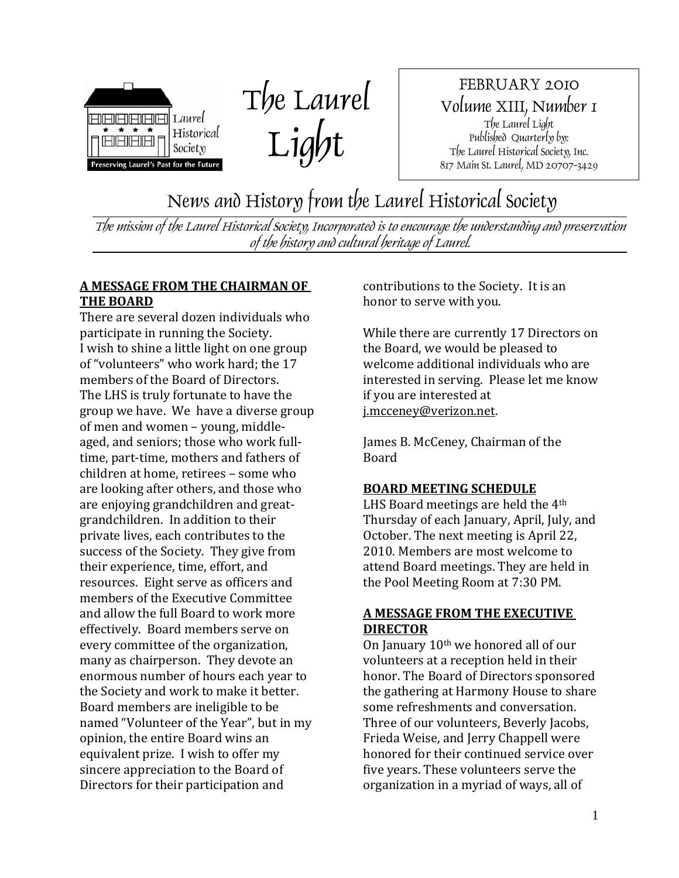



FEBRUARY 2010 Volume XIII, Number 1 The Laurel Light Published Quarterly by: The Laurel Historical Society, Inc. 817 Main St. Laurel, MD 20707-3429

News and History from the Laurel Historical Society

The mission of the Laurel Historical Society, Incorporated is to encourage the understanding and preservation of the history and cultural heritage of Laurel.

#### **A MESSAGE FROM THE CHAIRMAN OF THE BOARD**

There are several dozen individuals who participate in running the Society. I wish to shine a little light on one group of "volunteers" who work hard; the 17 members of the Board of Directors. The LHS is truly fortunate to have the group we have. We have a diverse group of men and women – young, middle‐ aged, and seniors; those who work full‐ time, part‐time, mothers and fathers of children at home, retirees – some who are looking after others, and those who are enjoying grandchildren and great‐ grandchildren. In addition to their private lives, each contributes to the success of the Society. They give from their experience, time, effort, and resources. Eight serve as officers and members of the Executive Committee and allow the full Board to work more effectively. Board members serve on every committee of the organization, many as chairperson. They devote an enormous number of hours each year to the Society and work to make it better. Board members are ineligible to be named "Volunteer of the Year", but in my opinion, the entire Board wins an equivalent prize. I wish to offer my sincere appreciation to the Board of Directors for their participation and

contributions to the Society. It is an honor to serve with you.

While there are currently 17 Directors on the Board, we would be pleased to welcome additional individuals who are interested in serving. Please let me know if you are interested at j.mcceney@verizon.net.

James B. McCeney, Chairman of the Board

#### **BOARD MEETING SCHEDULE**

LHS Board meetings are held the 4th Thursday of each January, April, July, and October. The next meeting is April 22, 2010. Members are most welcome to attend Board meetings. They are held in the Pool Meeting Room at 7:30 PM.

#### **A MESSAGE FROM THE EXECUTIVE DIRECTOR**

On January 10th we honored all of our volunteers at a reception held in their honor. The Board of Directors sponsored the gathering at Harmony House to share some refreshments and conversation. Three of our volunteers, Beverly Jacobs, Frieda Weise, and Jerry Chappell were honored for their continued service over five years. These volunteers serve the organization in a myriad of ways, all of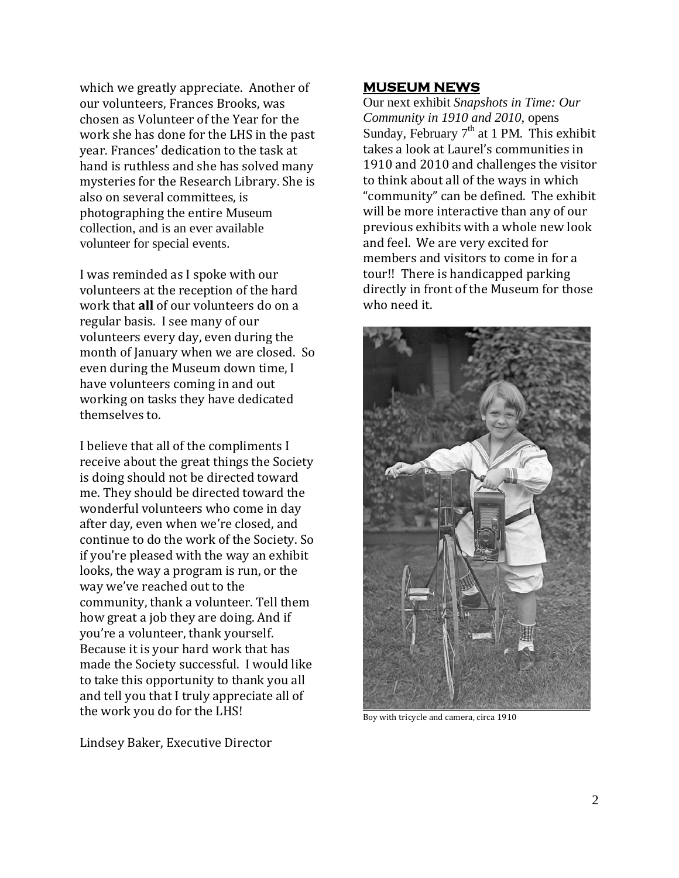which we greatly appreciate. Another of our volunteers, Frances Brooks, was chosen as Volunteer of the Year for the work she has done for the LHS in the past year. Frances' dedication to the task at hand is ruthless and she has solved many mysteries for the Research Library. She is also on several committees, is photographing the entire Museum collection, and is an ever available volunteer for special events.

I was reminded as I spoke with our volunteers at the reception of the hard work that **all** of our volunteers do on a regular basis. I see many of our volunteers every day, even during the month of January when we are closed. So even during the Museum down time, I have volunteers coming in and out working on tasks they have dedicated themselves to.

I believe that all of the compliments I receive about the great things the Society is doing should not be directed toward me. They should be directed toward the wonderful volunteers who come in day after day, even when we're closed, and continue to do the work of the Society. So if you're pleased with the way an exhibit looks, the way a program is run, or the way we've reached out to the community, thank a volunteer. Tell them how great a job they are doing. And if you're a volunteer, thank yourself. Because it is your hard work that has made the Society successful. I would like to take this opportunity to thank you all and tell you that I truly appreciate all of the work you do for the LHS!

Lindsey Baker, Executive Director

#### **MUSEUM NEWS**

Our next exhibit *Snapshots in Time: Our Community in 1910 and 2010*, opens Sunday, February  $7<sup>th</sup>$  at 1 PM. This exhibit takes a look at Laurel's communities in 1910 and 2010 and challenges the visitor to think about all of the ways in which "community" can be defined. The exhibit will be more interactive than any of our previous exhibits with a whole new look and feel. We are very excited for members and visitors to come in for a tour!! There is handicapped parking directly in front of the Museum for those who need it.



Boy with tricycle and camera, circa 1910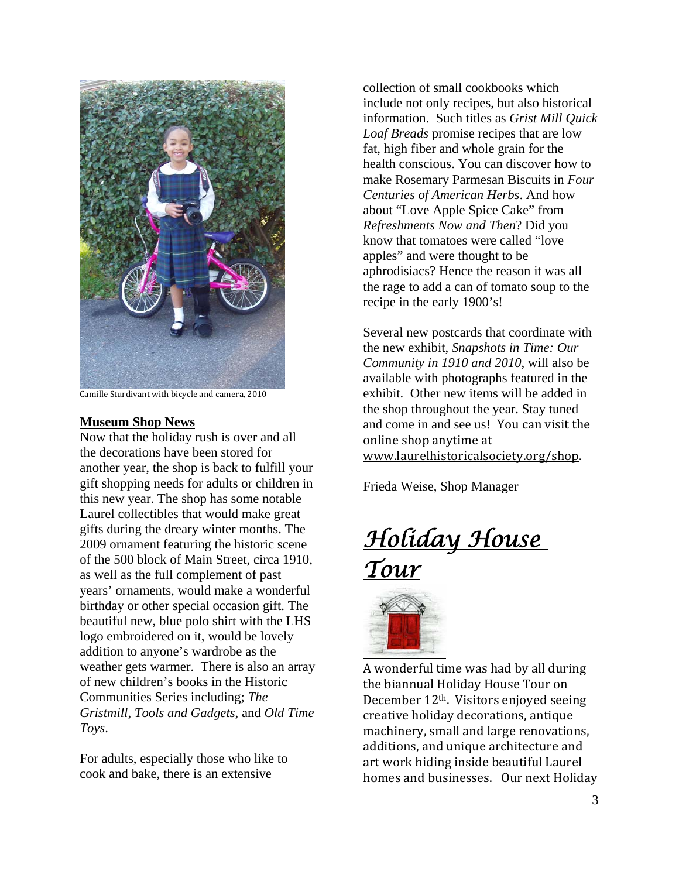

Camille Sturdivant with bicycle and camera, 2010

#### **Museum Shop News**

Now that the holiday rush is over and all the decorations have been stored for another year, the shop is back to fulfill your gift shopping needs for adults or children in this new year. The shop has some notable Laurel collectibles that would make great gifts during the dreary winter months. The 2009 ornament featuring the historic scene of the 500 block of Main Street, circa 1910, as well as the full complement of past years' ornaments, would make a wonderful birthday or other special occasion gift. The beautiful new, blue polo shirt with the LHS logo embroidered on it, would be lovely addition to anyone's wardrobe as the weather gets warmer. There is also an array of new children's books in the Historic Communities Series including; *The Gristmill*, *Tools and Gadgets*, and *Old Time Toys*.

For adults, especially those who like to cook and bake, there is an extensive

collection of small cookbooks which include not only recipes, but also historical information. Such titles as *Grist Mill Quick Loaf Breads* promise recipes that are low fat, high fiber and whole grain for the health conscious. You can discover how to make Rosemary Parmesan Biscuits in *Four Centuries of American Herbs*. And how about "Love Apple Spice Cake" from *Refreshments Now and Then*? Did you know that tomatoes were called "love apples" and were thought to be aphrodisiacs? Hence the reason it was all the rage to add a can of tomato soup to the recipe in the early 1900's!

Several new postcards that coordinate with the new exhibit, *Snapshots in Time: Our Community in 1910 and 2010*, will also be available with photographs featured in the exhibit. Other new items will be added in the shop throughout the year. Stay tuned and come in and see us! You can visit the online shop anytime at www.laurelhistoricalsociety.org/shop.

Frieda Weise, Shop Manager

*Holiday House Tour* 



A wonderful time was had by all during the biannual Holiday House Tour on December 12th. Visitors enjoyed seeing creative holiday decorations, antique machinery, small and large renovations, additions, and unique architecture and art work hiding inside beautiful Laurel homes and businesses. Our next Holiday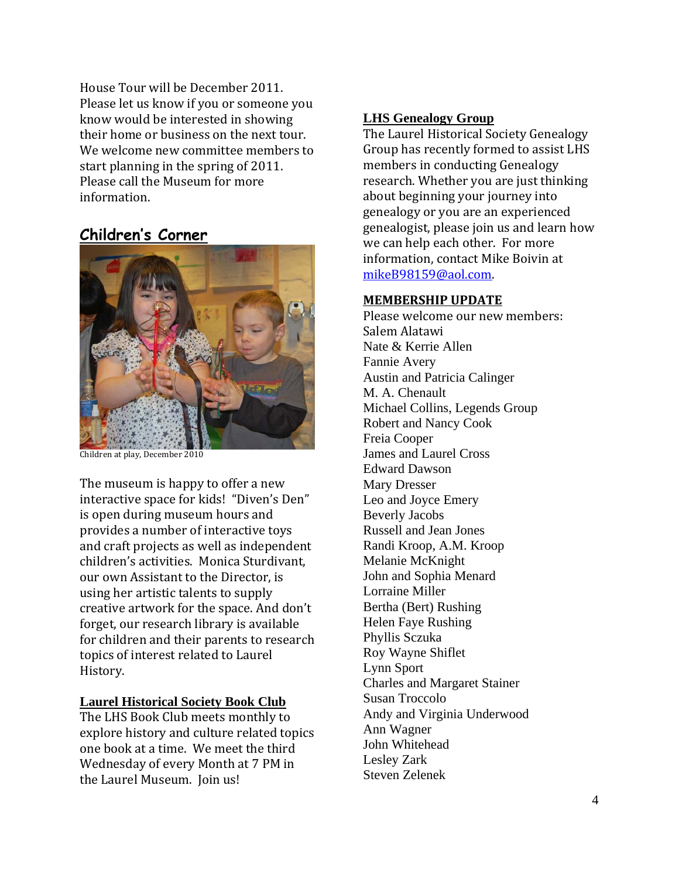House Tour will be December 2011. Please let us know if you or someone you know would be interested in showing their home or business on the next tour. We welcome new committee members to start planning in the spring of 2011. Please call the Museum for more information.

### **Children's Corner**



Children at play, December 2010

The museum is happy to offer a new interactive space for kids! "Diven's Den" is open during museum hours and provides a number of interactive toys and craft projects as well as independent children's activities. Monica Sturdivant, our own Assistant to the Director, is using her artistic talents to supply creative artwork for the space. And don't forget, our research library is available for children and their parents to research topics of interest related to Laurel History.

#### **Laurel Historical Society Book Club**

The LHS Book Club meets monthly to explore history and culture related topics one book at a time. We meet the third Wednesday of every Month at 7 PM in the Laurel Museum. Join us!

#### **LHS Genealogy Group**

The Laurel Historical Society Genealogy Group has recently formed to assist LHS members in conducting Genealogy research. Whether you are just thinking about beginning your journey into genealogy or you are an experienced genealogist, please join us and learn how we can help each other. For more information, contact [Mik](mailto:mikeB98159@aol.com)e Boivin at mikeB98159@aol.com.

#### **MEMBERSHIP UPDATE**

Please welcome our new members: Salem Alatawi Nate & Kerrie Allen Fannie Avery Austin and Patricia Calinger M. A. Chenault Michael Collins, Legends Group Robert and Nancy Cook Freia Cooper James and Laurel Cross Edward Dawson Mary Dresser Leo and Joyce Emery Beverly Jacobs Russell and Jean Jones Randi Kroop, A.M. Kroop Melanie McKnight John and Sophia Menard Lorraine Miller Bertha (Bert) Rushing Helen Faye Rushing Phyllis Sczuka Roy Wayne Shiflet Lynn Sport Charles and Margaret Stainer Susan Troccolo Andy and Virginia Underwood Ann Wagner John Whitehead Lesley Zark Steven Zelenek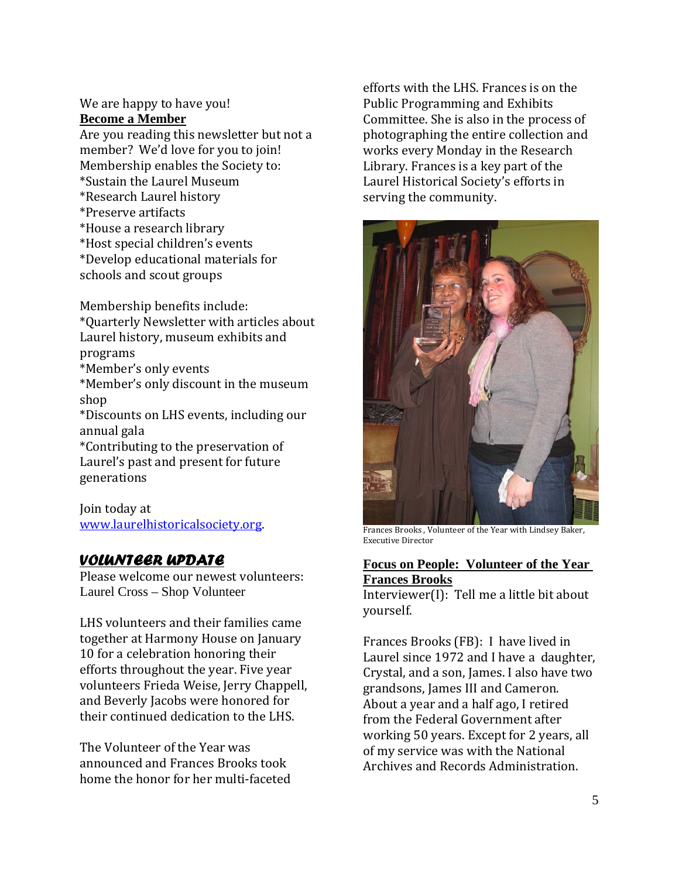#### We are happy to have you! **Become a Member**

Are you reading this newsletter but not a member? We'd love for you to join! Membership enables the Society to: \*Sustain the Laurel Museum \*Research Laurel history \*Preserve artifacts \*House a research library \*Host special children's events \*Develop educational materials for schools and scout groups

Membership benefits include: \*Quarterly Newsletter with articles about

Laurel history, museum exhibits and programs

\*Member's only events

\*Member's only discount in the museum shop

\*Discounts on LHS events, including our annual gala

\*Contributing to the preservation of Laurel's past and present for future generations

Join today at [www.laurelhistoricalsociety.org](http://www.laurelhistoricalsociety.org/).

### *VOLUNTEER UPDATE*

Please welcome our newest volunteers: Laurel Cross – Shop Volunteer

LHS volunteers and their families came together at Harmony House on January 10 for a celebration honoring their efforts throughout the year. Five year volunteers Frieda Weise, Jerry Chappell, and Beverly Jacobs were honored for their continued dedication to the LHS.

The Volunteer of the Year was announced and Frances Brooks took home the honor for her multi‐faceted efforts with the LHS. Frances is on the Public Programming and Exhibits Committee. She is also in the process of photographing the entire collection and works every Monday in the Research Library. Frances is a key part of the Laurel Historical Society's efforts in serving the community.



F rances Brooks , Volunteer of the Year with Lindsey Baker, E xecutive Director

#### **Focus on People: Volunteer of the Year Frances Brooks**

Interviewer(I): Tell me a little bit about yourself.

Frances Brooks (FB): I have lived in Laurel since 1972 and I have a daughter, Crystal, and a son, James. I also have two grandsons, James III and Cameron. About a year and a half ago, I retired from the Federal Government after working 50 years. Except for 2 years, all of my service was with the National Archives and Records Administration.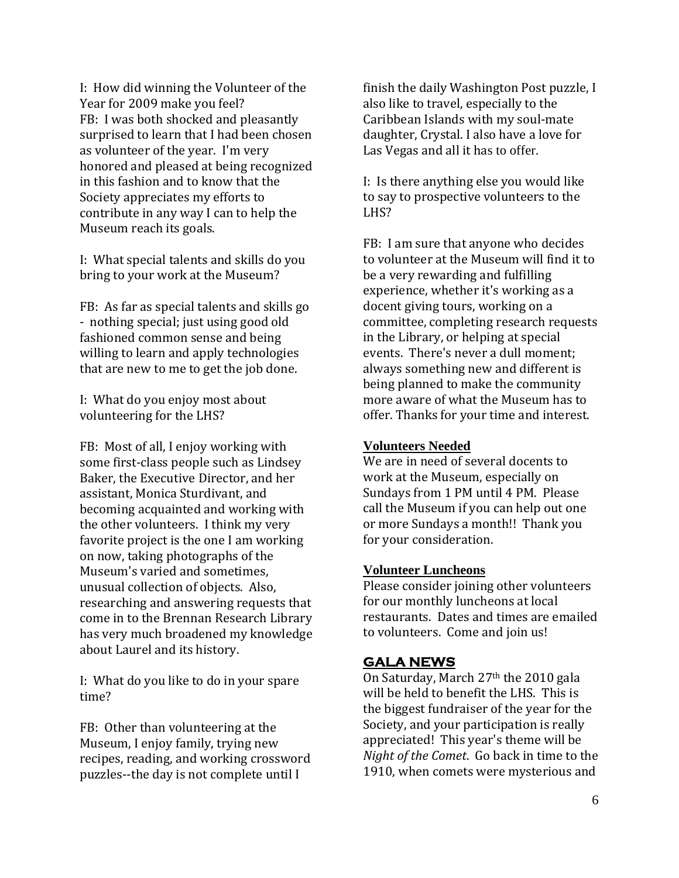I: How did winning the Volunteer of the Year for 2009 make you feel? FB: I was both shocked and pleasantly surprised to learn that I had been chosen as volunteer of the year. I'm very honored and pleased at being recognized in this fashion and to know that the Society appreciates my efforts to contribute in any way I can to help the Museum reach its goals.

I: What special talents and skills do you bring to your work at the Museum?

FB: As far as special talents and skills go ‐ nothing special; just using good old fashioned common sense and being willing to learn and apply technologies that are new to me to get the job done.

I: What do you enjoy most about volunteering for the LHS?

FB: Most of all, I enjoy working with some first-class people such as Lindsey Baker, the Executive Director, and her assistant, Monica Sturdivant, and becoming acquainted and working with the other volunteers. I think my very favorite project is the one I am working on now, taking photographs of the Museum's varied and sometimes, unusual collection of objects. Also, researching and answering requests that come in to the Brennan Research Library has very much broadened my knowledge about Laurel and its history.

I: What do you like to do in your spare time?

FB: Other than volunteering at the Museum, I enjoy family, trying new recipes, reading, and working crossword puzzles‐‐the day is not complete until I

finish the daily Washington Post puzzle, I also like to travel, especially to the Caribbean Islands with my soul‐mate daughter, Crystal. I also have a love for Las Vegas and all it has to offer.

I: Is there anything else you would like to say to prospective volunteers to the LHS?

FB: I am sure that anyone who decides to volunteer at the Museum will find it to be a very rewarding and fulfilling experience, whether it's working as a docent giving tours, working on a committee, completing research requests in the Library, or helping at special events. There's never a dull moment; always something new and different is being planned to make the community more aware of what the Museum has to offer. Thanks for your time and interest.

#### **Volunteers Needed**

We are in need of several docents to work at the Museum, especially on Sundays from 1 PM until 4 PM. Please call the Museum if you can help out one or more Sundays a month!! Thank you for your consideration.

#### **Volunteer Luncheons**

Please consider joining other volunteers for our monthly luncheons at local restaurants. Dates and times are emailed to volunteers. Come and join us!

#### **GALA NEWS**

On Saturday, March 27th the 2010 gala will be held to benefit the LHS. This is the biggest fundraiser of the year for the Society, and your participation is really appreciated! This year's theme will be *Night of the Comet*. Go back in time to the 1910, when comets were mysterious and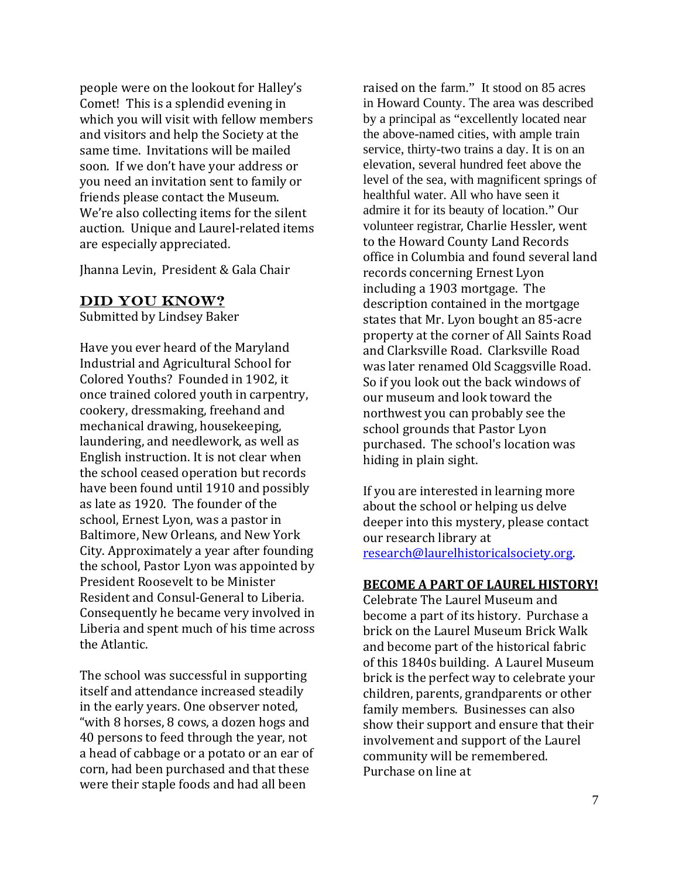people were on the lookout for Halley's Comet! This is a splendid evening in which you will visit with fellow members and visitors and help the Society at the same time. Invitations will be mailed soon. If we don't have your address or you need an invitation sent to family or friends please contact the Museum. We're also collecting items for the silent auction. Unique and Laurel‐related items are especially appreciated.

Jhanna Levin, President & Gala Chair

#### DID YOU KNOW?

Submitted by Lindsey Baker

Have you ever heard of the Maryland Industrial and Agricultural School for Colored Youths? Founded in 1902, it once trained colored youth in carpentry, cookery, dressmaking, freehand and mechanical drawing, housekeeping, laundering, and needlework, as well as English instruction. It is not clear when the school ceased operation but records have been found until 1910 and possibly as late as 1920. The founder of the school, Ernest Lyon, was a pastor in Baltimore, New Orleans, and New York City. Approximately a year after founding the school, Pastor Lyon was appointed by President Roosevelt to be Minister Resident and Consul‐General to Liberia. Consequently he became very involved in Liberia and spent much of his time across the Atlantic.

The school was successful in supporting itself and attendance increased steadily in the early years. One observer noted, "with 8 horses, 8 cows, a dozen hogs and 40 persons to feed through the year, not a head of cabbage or a potato or an ear of corn, had been purchased and that these were their staple foods and had all been

raised on the farm." It stood on 85 acres in Howard County. The area was described by a principal as "excellently located near the above-named cities, with ample train service, thirty-two trains a day. It is on an elevation, several hundred feet above the level of the sea, with magnificent springs of healthful water. All who have seen it admire it for its beauty of location." Our volunteer registrar, Charlie Hessler, went to the Howard County Land Records office in Columbia and found several land records concerning Ernest Lyon including a 1903 mortgage. The description contained in the mortgage states that Mr. Lyon bought an 85‐acre property at the corner of All Saints Road and Clarksville Road. Clarksville Road was later renamed Old Scaggsville Road. So if you look out the back windows of our museum and look toward the northwest you can probably see the school grounds that Pastor Lyon purchased. The school's location was hiding in plain sight.

If you are interested in learning more about the school or helping us delve deeper into this mystery, please contact our research library at [research@laurelhistoricalsociety.org.](mailto:research@laurelhistoricalsociety.org)

#### **BECOME A PART OF LAUREL HISTORY!**

Celebrate The Laurel Museum and become a part of its history. Purchase a brick on the Laurel Museum Brick Walk and become part of the historical fabric of this 1840s building. A Laurel Museum brick is the perfect way to celebrate your children, parents, grandparents or other family members. Businesses can also show their support and ensure that their involvement and support of the Laurel community will be remembered. Purchase on line at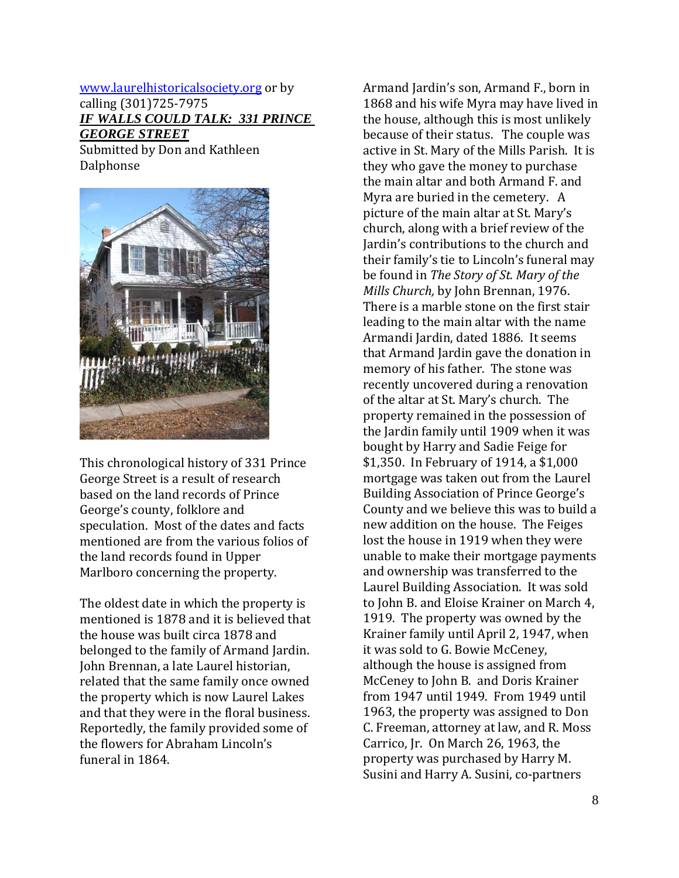#### [www.laurelhistoricalsociety.org](http://www.laurelhistoricalsociety.org/) or by calling (301)725‐7975 *IF WALLS COULD TALK: 331 PRINCE GEORGE STREET*

Submitted by Don and Kathleen **Dalphonse** 



This chronological history of 331 Prince George Street is a result of research based on the land records of Prince George's county, folklore and speculation. Most of the dates and facts mentioned are from the various folios of the land records found in Upper Marlboro concerning the property.

The oldest date in which the property is mentioned is 1878 and it is believed that the house was built circa 1878 and belonged to the family of Armand Jardin. John Brennan, a late Laurel historian, related that the same family once owned the property which is now Laurel Lakes and that they were in the floral business. Reportedly, the family provided some of the flowers for Abraham Lincoln's funeral in 1864.

Armand Jardin's son, Armand F., born in 1868 and his wife Myra may have lived in the house, although this is most unlikely because of their status. The couple was active in St. Mary of the Mills Parish. It is they who gave the money to purchase the main altar and both Armand F. and Myra are buried in the cemetery. A picture of the main altar at St. Mary's church, along with a brief review of the Jardin's contributions to the church and their family's tie to Lincoln's funeral may be found in *The Story of St. Mary of the Mills Church,* by John Brennan, 1976. There is a marble stone on the first stair leading to the main altar with the name Armandi Jardin, dated 1886. It seems that Armand Jardin gave the donation in memory of his father. The stone was recently uncovered during a renovation of the altar at St. Mary's church. The property remained in the possession of the Jardin family until 1909 when it was bought by Harry and Sadie Feige for \$1,350. In February of 1914, a \$1,000 mortgage was taken out from the Laurel Building Association of Prince George's County and we believe this was to build a new addition on the house. The Feiges lost the house in 1919 when they were unable to make their mortgage payments and ownership was transferred to the Laurel Building Association. It was sold to John B. and Eloise Krainer on March 4, 1919. The property was owned by the Krainer family until April 2, 1947, when it was sold to G. Bowie McCeney, although the house is assigned from McCeney to John B. and Doris Krainer from 1947 until 1949. From 1949 until 1963, the property was assigned to Don C. Freeman, attorney at law, and R. Moss Carrico, Jr. On March 26, 1963, the property was purchased by Harry M. Susini and Harry A. Susini, co‐partners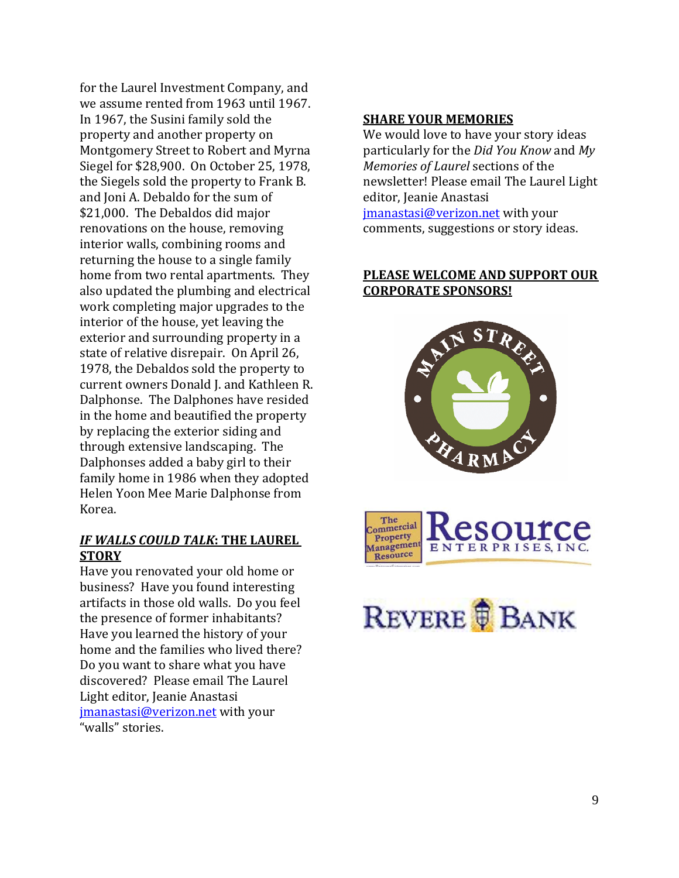for the Laurel Investment Company, and we assume rented from 1963 until 1967. In 1967, the Susini family sold the property and another property on Montgomery Street to Robert and Myrna Siegel for \$28,900. On October 25, 1978, the Siegels sold the property to Frank B. and Joni A. Debaldo for the sum of \$21,000. The Debaldos did major renovations on the house, removing interior walls, combining rooms and returning the house to a single family home from two rental apartments. They also updated the plumbing and electrical work completing major upgrades to the interior of the house, yet leaving the exterior and surrounding property in a state of relative disrepair. On April 26, 1978, the Debaldos sold the property to current owners Donald J. and Kathleen R. Dalphonse. The Dalphones have resided in the home and beautified the property by replacing the exterior siding and through extensive landscaping. The Dalphonses added a baby girl to their family home in 1986 when they adopted Helen Yoon Mee Marie Dalphonse from Korea.

#### *IF WALLS COULD TALK***: THE LAUREL STORY**

Have you renovated your old home or business? Have you found interesting artifacts in those old walls. Do you feel the presence of former inhabitants? Have you learned the history of your home and the families who lived there? Do you want to share what you have discovered? Please email The Laurel Light editor, Jeanie Anastasi i[manastasi@ver](mailto:jmanastasi@verizon.net)izon.net with your "walls" stories.

#### **SHARE YOUR MEMORIES**

We would love to have your story ideas particularly for the *Did You Know* and *My Memories of Laurel* sections of the newsletter! Please email The Laurel Light editor, Jeanie Anastasi

[jmanastasi@verizon.net](mailto:jmanastasi@verizon.net) with your comments, suggestions or story ideas.

#### **PLEASE WELCOME AND SUPPORT OUR CORPORATE SPONSORS!**





## REVERE **B** BANK